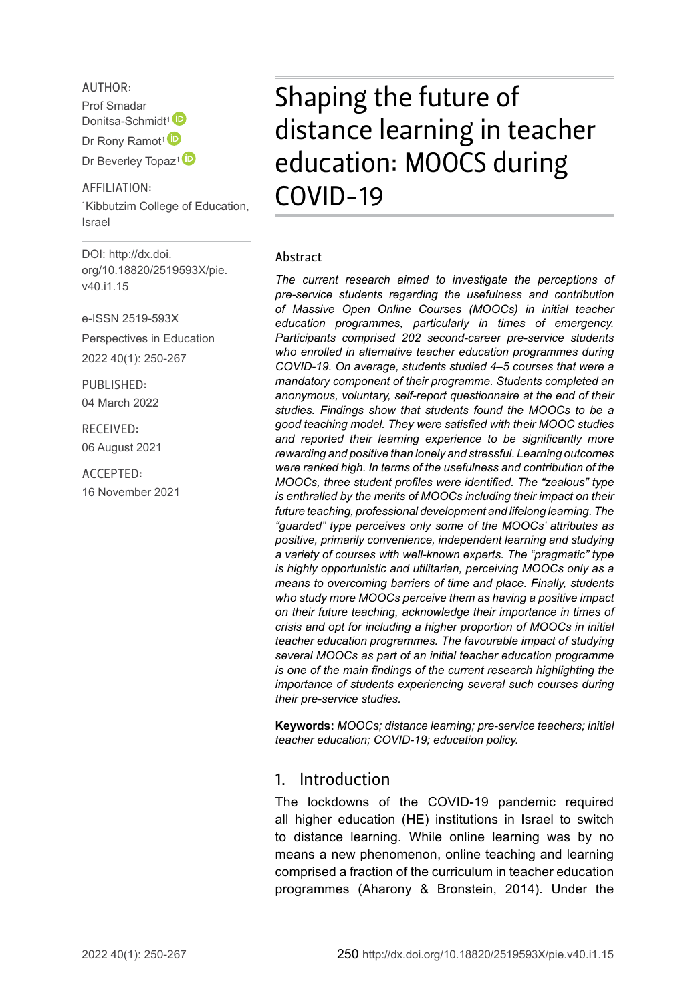AUTHOR:

Prof Smadar Donitsa-Schmidt<sup>1</sup> Dr Rony Ramot<sup>1</sup> Dr Beverley Topaz<sup>1</sup><sup>D</sup>

AFFILIATION: 1 Kibbutzim College of Education, Israel

DOI: [http://dx.doi.](http://dx.doi.org/10.18820/2519593X/pie.v40.i1.15) [org/10.18820/2519593X/p](http://dx.doi.org/10.18820/2519593X/pie.v40.i1.15)ie. v40.i1.15

e-ISSN 2519-593X

Perspectives in Education 2022 40(1): 250-267

PUBLISHED: 04 March 2022

RECEIVED: 06 August 2021

ACCEPTED: 16 November 2021

# Shaping the future of distance learning in teacher education: MOOCS during COVID-19

#### Abstract

*The current research aimed to investigate the perceptions of pre-service students regarding the usefulness and contribution of Massive Open Online Courses (MOOCs) in initial teacher education programmes, particularly in times of emergency. Participants comprised 202 second-career pre-service students who enrolled in alternative teacher education programmes during COVID-19. On average, students studied 4–5 courses that were a mandatory component of their programme. Students completed an anonymous, voluntary, self-report questionnaire at the end of their studies. Findings show that students found the MOOCs to be a good teaching model. They were satisfied with their MOOC studies and reported their learning experience to be significantly more rewarding and positive than lonely and stressful. Learning outcomes were ranked high. In terms of the usefulness and contribution of the MOOCs, three student profiles were identified. The "zealous" type is enthralled by the merits of MOOCs including their impact on their future teaching, professional development and lifelong learning. The "guarded" type perceives only some of the MOOCs' attributes as positive, primarily convenience, independent learning and studying a variety of courses with well-known experts. The "pragmatic" type is highly opportunistic and utilitarian, perceiving MOOCs only as a means to overcoming barriers of time and place. Finally, students who study more MOOCs perceive them as having a positive impact on their future teaching, acknowledge their importance in times of crisis and opt for including a higher proportion of MOOCs in initial teacher education programmes. The favourable impact of studying several MOOCs as part of an initial teacher education programme is one of the main findings of the current research highlighting the importance of students experiencing several such courses during their pre-service studies.*

**Keywords:** *MOOCs; distance learning; pre-service teachers; initial teacher education; COVID-19; education policy.*

### 1. Introduction

The lockdowns of the COVID-19 pandemic required all higher education (HE) institutions in Israel to switch to distance learning. While online learning was by no means a new phenomenon, online teaching and learning comprised a fraction of the curriculum in teacher education programmes (Aharony & Bronstein, 2014). Under the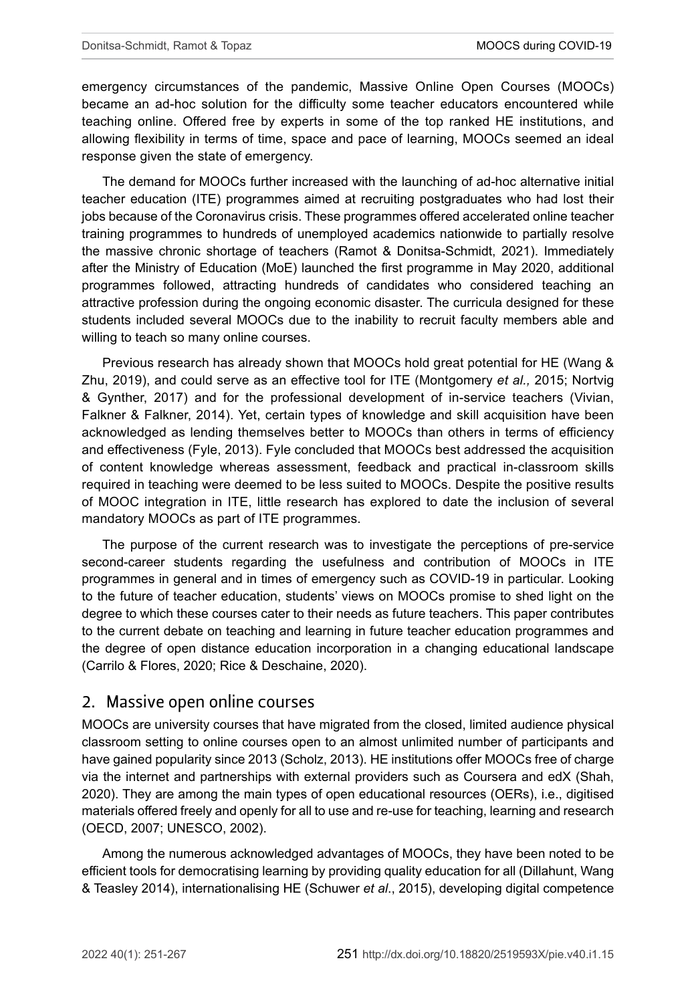emergency circumstances of the pandemic, Massive Online Open Courses (MOOCs) became an ad-hoc solution for the difficulty some teacher educators encountered while teaching online. Offered free by experts in some of the top ranked HE institutions, and allowing flexibility in terms of time, space and pace of learning, MOOCs seemed an ideal response given the state of emergency.

The demand for MOOCs further increased with the launching of ad-hoc alternative initial teacher education (ITE) programmes aimed at recruiting postgraduates who had lost their jobs because of the Coronavirus crisis. These programmes offered accelerated online teacher training programmes to hundreds of unemployed academics nationwide to partially resolve the massive chronic shortage of teachers (Ramot & Donitsa-Schmidt, 2021). Immediately after the Ministry of Education (MoE) launched the first programme in May 2020, additional programmes followed, attracting hundreds of candidates who considered teaching an attractive profession during the ongoing economic disaster. The curricula designed for these students included several MOOCs due to the inability to recruit faculty members able and willing to teach so many online courses.

Previous research has already shown that MOOCs hold great potential for HE (Wang & Zhu, 2019), and could serve as an effective tool for ITE (Montgomery *et al.,* 2015; Nortvig & Gynther, 2017) and for the professional development of in-service teachers (Vivian, Falkner & Falkner, 2014). Yet, certain types of knowledge and skill acquisition have been acknowledged as lending themselves better to MOOCs than others in terms of efficiency and effectiveness (Fyle, 2013). Fyle concluded that MOOCs best addressed the acquisition of content knowledge whereas assessment, feedback and practical in-classroom skills required in teaching were deemed to be less suited to MOOCs. Despite the positive results of MOOC integration in ITE, little research has explored to date the inclusion of several mandatory MOOCs as part of ITE programmes.

The purpose of the current research was to investigate the perceptions of pre-service second-career students regarding the usefulness and contribution of MOOCs in ITE programmes in general and in times of emergency such as COVID-19 in particular. Looking to the future of teacher education, students' views on MOOCs promise to shed light on the degree to which these courses cater to their needs as future teachers. This paper contributes to the current debate on teaching and learning in future teacher education programmes and the degree of open distance education incorporation in a changing educational landscape (Carrilo & Flores, 2020; Rice & Deschaine, 2020).

### 2. Massive open online courses

MOOCs are university courses that have migrated from the closed, limited audience physical classroom setting to online courses open to an almost unlimited number of participants and have gained popularity since 2013 (Scholz, 2013). HE institutions offer MOOCs free of charge via the internet and partnerships with external providers such as Coursera and edX (Shah, 2020). They are among the main types of open educational resources (OERs), i.e., digitised materials offered freely and openly for all to use and re-use for teaching, learning and research (OECD, 2007; UNESCO, 2002).

Among the numerous acknowledged advantages of MOOCs, they have been noted to be efficient tools for democratising learning by providing quality education for all (Dillahunt, Wang & Teasley 2014), internationalising HE (Schuwer *et al*., 2015), developing digital competence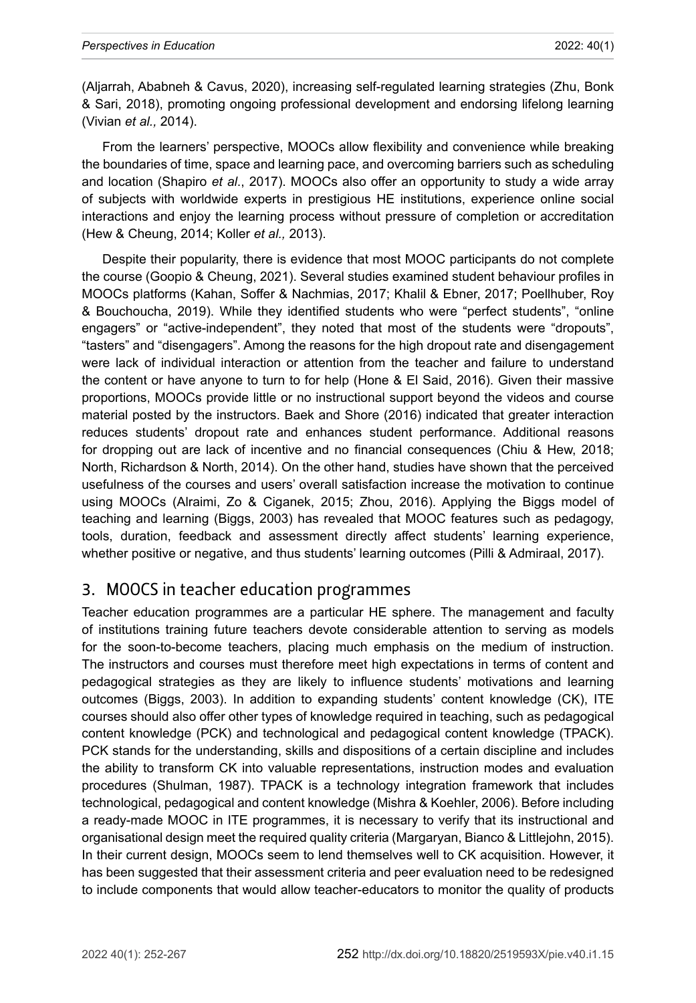(Aljarrah, Ababneh & Cavus, 2020), increasing self-regulated learning strategies (Zhu, Bonk & Sari, 2018), promoting ongoing professional development and endorsing lifelong learning (Vivian *et al.,* 2014).

From the learners' perspective, MOOCs allow flexibility and convenience while breaking the boundaries of time, space and learning pace, and overcoming barriers such as scheduling and location (Shapiro *et al*., 2017). MOOCs also offer an opportunity to study a wide array of subjects with worldwide experts in prestigious HE institutions, experience online social interactions and enjoy the learning process without pressure of completion or accreditation (Hew & Cheung, 2014; Koller *et al.,* 2013).

Despite their popularity, there is evidence that most MOOC participants do not complete the course (Goopio & Cheung, 2021). Several studies examined student behaviour profiles in MOOCs platforms (Kahan, Soffer & Nachmias, 2017; Khalil & Ebner, 2017; Poellhuber, Roy & Bouchoucha, 2019). While they identified students who were "perfect students", "online engagers" or "active-independent", they noted that most of the students were "dropouts", "tasters" and "disengagers". Among the reasons for the high dropout rate and disengagement were lack of individual interaction or attention from the teacher and failure to understand the content or have anyone to turn to for help (Hone & El Said, 2016). Given their massive proportions, MOOCs provide little or no instructional support beyond the videos and course material posted by the instructors. Baek and Shore (2016) indicated that greater interaction reduces students' dropout rate and enhances student performance. Additional reasons for dropping out are lack of incentive and no financial consequences (Chiu & Hew, 2018; North, Richardson & North, 2014). On the other hand, studies have shown that the perceived usefulness of the courses and users' overall satisfaction increase the motivation to continue using MOOCs (Alraimi, Zo & Ciganek, 2015; Zhou, 2016). Applying the Biggs model of teaching and learning (Biggs, 2003) has revealed that MOOC features such as pedagogy, tools, duration, feedback and assessment directly affect students' learning experience, whether positive or negative, and thus students' learning outcomes (Pilli & Admiraal, 2017).

### 3. MOOCS in teacher education programmes

Teacher education programmes are a particular HE sphere. The management and faculty of institutions training future teachers devote considerable attention to serving as models for the soon-to-become teachers, placing much emphasis on the medium of instruction. The instructors and courses must therefore meet high expectations in terms of content and pedagogical strategies as they are likely to influence students' motivations and learning outcomes (Biggs, 2003). In addition to expanding students' content knowledge (CK), ITE courses should also offer other types of knowledge required in teaching, such as pedagogical content knowledge (PCK) and technological and pedagogical content knowledge (TPACK). PCK stands for the understanding, skills and dispositions of a certain discipline and includes the ability to transform CK into valuable representations, instruction modes and evaluation procedures (Shulman, 1987). TPACK is a technology integration framework that includes technological, pedagogical and content knowledge (Mishra & Koehler, 2006). Before including a ready-made MOOC in ITE programmes, it is necessary to verify that its instructional and organisational design meet the required quality criteria (Margaryan, Bianco & Littlejohn, 2015). In their current design, MOOCs seem to lend themselves well to CK acquisition. However, it has been suggested that their assessment criteria and peer evaluation need to be redesigned to include components that would allow teacher-educators to monitor the quality of products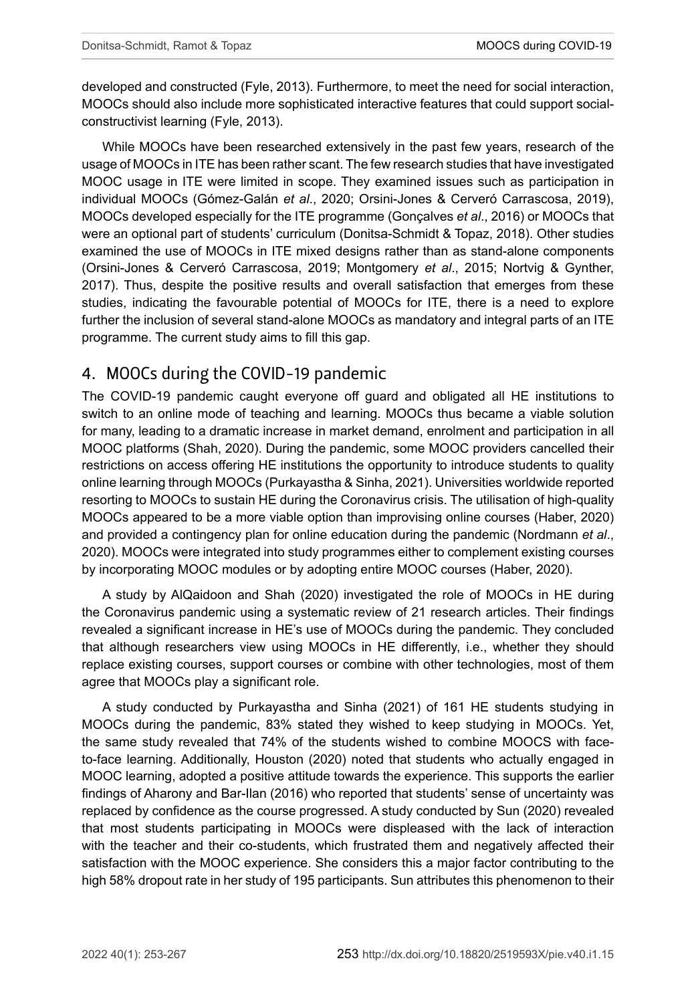developed and constructed (Fyle, 2013). Furthermore, to meet the need for social interaction, MOOCs should also include more sophisticated interactive features that could support socialconstructivist learning (Fyle, 2013).

While MOOCs have been researched extensively in the past few years, research of the usage of MOOCs in ITE has been rather scant. The few research studies that have investigated MOOC usage in ITE were limited in scope. They examined issues such as participation in individual MOOCs (Gómez-Galán *et al*., 2020; Orsini-Jones & Cerveró Carrascosa, 2019), MOOCs developed especially for the ITE programme (Gonçalves *et al*., 2016) or MOOCs that were an optional part of students' curriculum (Donitsa-Schmidt & Topaz, 2018). Other studies examined the use of MOOCs in ITE mixed designs rather than as stand-alone components (Orsini-Jones & Cerveró Carrascosa, 2019; Montgomery *et al*., 2015; Nortvig & Gynther, 2017). Thus, despite the positive results and overall satisfaction that emerges from these studies, indicating the favourable potential of MOOCs for ITE, there is a need to explore further the inclusion of several stand-alone MOOCs as mandatory and integral parts of an ITE programme. The current study aims to fill this gap.

### 4. MOOCs during the COVID-19 pandemic

The COVID-19 pandemic caught everyone off guard and obligated all HE institutions to switch to an online mode of teaching and learning. MOOCs thus became a viable solution for many, leading to a dramatic increase in market demand, enrolment and participation in all MOOC platforms (Shah, 2020). During the pandemic, some MOOC providers cancelled their restrictions on access offering HE institutions the opportunity to introduce students to quality online learning through MOOCs (Purkayastha & Sinha, 2021). Universities worldwide reported resorting to MOOCs to sustain HE during the Coronavirus crisis. The utilisation of high-quality MOOCs appeared to be a more viable option than improvising online courses (Haber, 2020) and provided a contingency plan for online education during the pandemic (Nordmann *et al*., 2020). MOOCs were integrated into study programmes either to complement existing courses by incorporating MOOC modules or by adopting entire MOOC courses (Haber, 2020).

A study by AlQaidoon and Shah (2020) investigated the role of MOOCs in HE during the Coronavirus pandemic using a systematic review of 21 research articles. Their findings revealed a significant increase in HE's use of MOOCs during the pandemic. They concluded that although researchers view using MOOCs in HE differently, i.e., whether they should replace existing courses, support courses or combine with other technologies, most of them agree that MOOCs play a significant role.

A study conducted by Purkayastha and Sinha (2021) of 161 HE students studying in MOOCs during the pandemic, 83% stated they wished to keep studying in MOOCs. Yet, the same study revealed that 74% of the students wished to combine MOOCS with faceto-face learning. Additionally, Houston (2020) noted that students who actually engaged in MOOC learning, adopted a positive attitude towards the experience. This supports the earlier findings of Aharony and Bar-Ilan (2016) who reported that students' sense of uncertainty was replaced by confidence as the course progressed. A study conducted by Sun (2020) revealed that most students participating in MOOCs were displeased with the lack of interaction with the teacher and their co-students, which frustrated them and negatively affected their satisfaction with the MOOC experience. She considers this a major factor contributing to the high 58% dropout rate in her study of 195 participants. Sun attributes this phenomenon to their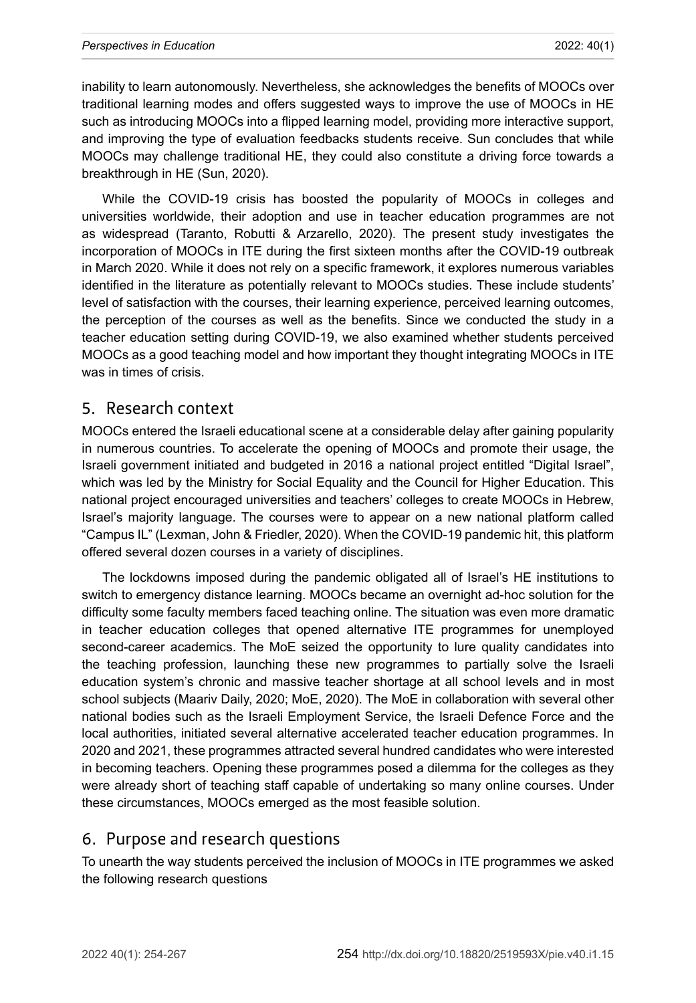inability to learn autonomously. Nevertheless, she acknowledges the benefits of MOOCs over traditional learning modes and offers suggested ways to improve the use of MOOCs in HE such as introducing MOOCs into a flipped learning model, providing more interactive support, and improving the type of evaluation feedbacks students receive. Sun concludes that while MOOCs may challenge traditional HE, they could also constitute a driving force towards a breakthrough in HE (Sun, 2020).

While the COVID-19 crisis has boosted the popularity of MOOCs in colleges and universities worldwide, their adoption and use in teacher education programmes are not as widespread (Taranto, Robutti & Arzarello, 2020). The present study investigates the incorporation of MOOCs in ITE during the first sixteen months after the COVID-19 outbreak in March 2020. While it does not rely on a specific framework, it explores numerous variables identified in the literature as potentially relevant to MOOCs studies. These include students' level of satisfaction with the courses, their learning experience, perceived learning outcomes, the perception of the courses as well as the benefits. Since we conducted the study in a teacher education setting during COVID-19, we also examined whether students perceived MOOCs as a good teaching model and how important they thought integrating MOOCs in ITE was in times of crisis.

### 5. Research context

MOOCs entered the Israeli educational scene at a considerable delay after gaining popularity in numerous countries. To accelerate the opening of MOOCs and promote their usage, the Israeli government initiated and budgeted in 2016 a national project entitled "Digital Israel", which was led by the Ministry for Social Equality and the Council for Higher Education. This national project encouraged universities and teachers' colleges to create MOOCs in Hebrew, Israel's majority language. The courses were to appear on a new national platform called "Campus IL" (Lexman, John & Friedler, 2020). When the COVID-19 pandemic hit, this platform offered several dozen courses in a variety of disciplines.

The lockdowns imposed during the pandemic obligated all of Israel's HE institutions to switch to emergency distance learning. MOOCs became an overnight ad-hoc solution for the difficulty some faculty members faced teaching online. The situation was even more dramatic in teacher education colleges that opened alternative ITE programmes for unemployed second-career academics. The MoE seized the opportunity to lure quality candidates into the teaching profession, launching these new programmes to partially solve the Israeli education system's chronic and massive teacher shortage at all school levels and in most school subjects (Maariv Daily, 2020; MoE, 2020). The MoE in collaboration with several other national bodies such as the Israeli Employment Service, the Israeli Defence Force and the local authorities, initiated several alternative accelerated teacher education programmes. In 2020 and 2021, these programmes attracted several hundred candidates who were interested in becoming teachers. Opening these programmes posed a dilemma for the colleges as they were already short of teaching staff capable of undertaking so many online courses. Under these circumstances, MOOCs emerged as the most feasible solution.

### 6. Purpose and research questions

To unearth the way students perceived the inclusion of MOOCs in ITE programmes we asked the following research questions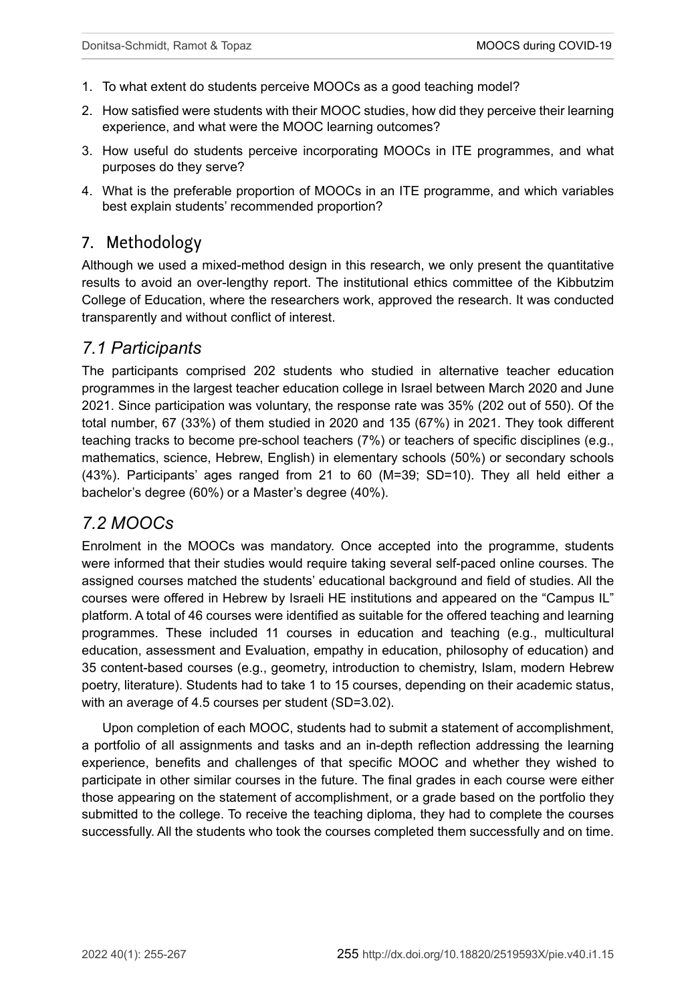- 1. To what extent do students perceive MOOCs as a good teaching model?
- 2. How satisfied were students with their MOOC studies, how did they perceive their learning experience, and what were the MOOC learning outcomes?
- 3. How useful do students perceive incorporating MOOCs in ITE programmes, and what purposes do they serve?
- 4. What is the preferable proportion of MOOCs in an ITE programme, and which variables best explain students' recommended proportion?

### 7. Methodology

Although we used a mixed-method design in this research, we only present the quantitative results to avoid an over-lengthy report. The institutional ethics committee of the Kibbutzim College of Education, where the researchers work, approved the research. It was conducted transparently and without conflict of interest.

### *7.1 Participants*

The participants comprised 202 students who studied in alternative teacher education programmes in the largest teacher education college in Israel between March 2020 and June 2021. Since participation was voluntary, the response rate was 35% (202 out of 550). Of the total number, 67 (33%) of them studied in 2020 and 135 (67%) in 2021. They took different teaching tracks to become pre-school teachers (7%) or teachers of specific disciplines (e.g., mathematics, science, Hebrew, English) in elementary schools (50%) or secondary schools (43%). Participants' ages ranged from 21 to 60 (M=39; SD=10). They all held either a bachelor's degree (60%) or a Master's degree (40%).

### *7.2 MOOCs*

Enrolment in the MOOCs was mandatory. Once accepted into the programme, students were informed that their studies would require taking several self-paced online courses. The assigned courses matched the students' educational background and field of studies. All the courses were offered in Hebrew by Israeli HE institutions and appeared on the "Campus IL" platform. A total of 46 courses were identified as suitable for the offered teaching and learning programmes. These included 11 courses in education and teaching (e.g., multicultural education, assessment and Evaluation, empathy in education, philosophy of education) and 35 content-based courses (e.g., geometry, introduction to chemistry, Islam, modern Hebrew poetry, literature). Students had to take 1 to 15 courses, depending on their academic status, with an average of 4.5 courses per student (SD=3.02).

Upon completion of each MOOC, students had to submit a statement of accomplishment, a portfolio of all assignments and tasks and an in-depth reflection addressing the learning experience, benefits and challenges of that specific MOOC and whether they wished to participate in other similar courses in the future. The final grades in each course were either those appearing on the statement of accomplishment, or a grade based on the portfolio they submitted to the college. To receive the teaching diploma, they had to complete the courses successfully. All the students who took the courses completed them successfully and on time.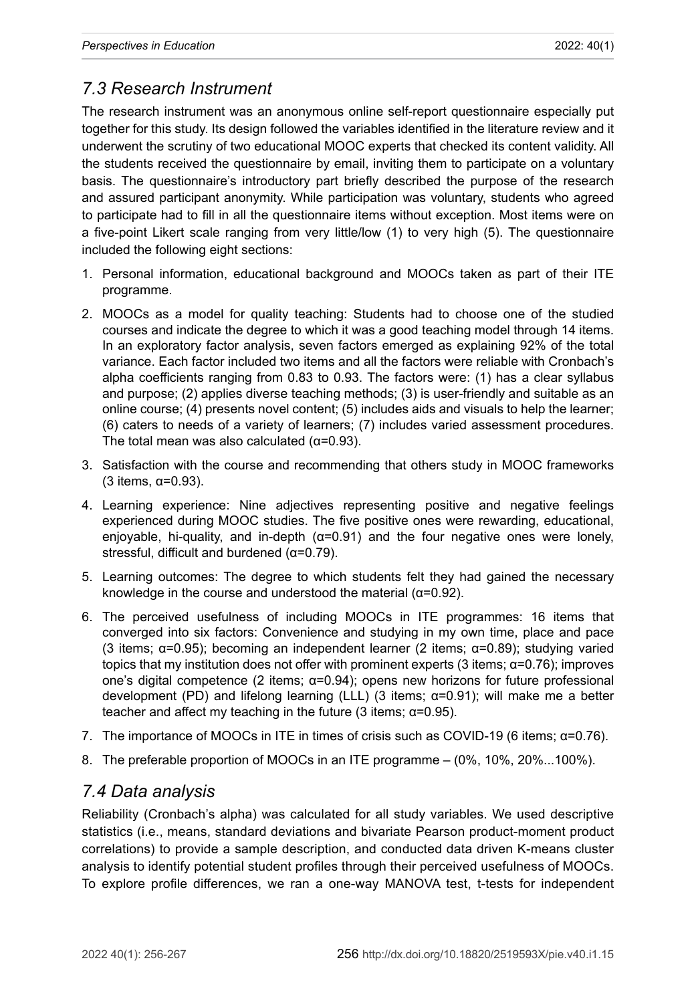## *7.3 Research Instrument*

The research instrument was an anonymous online self-report questionnaire especially put together for this study. Its design followed the variables identified in the literature review and it underwent the scrutiny of two educational MOOC experts that checked its content validity. All the students received the questionnaire by email, inviting them to participate on a voluntary basis. The questionnaire's introductory part briefly described the purpose of the research and assured participant anonymity. While participation was voluntary, students who agreed to participate had to fill in all the questionnaire items without exception. Most items were on a five-point Likert scale ranging from very little/low (1) to very high (5). The questionnaire included the following eight sections:

- 1. Personal information, educational background and MOOCs taken as part of their ITE programme.
- 2. MOOCs as a model for quality teaching: Students had to choose one of the studied courses and indicate the degree to which it was a good teaching model through 14 items. In an exploratory factor analysis, seven factors emerged as explaining 92% of the total variance. Each factor included two items and all the factors were reliable with Cronbach's alpha coefficients ranging from 0.83 to 0.93. The factors were: (1) has a clear syllabus and purpose; (2) applies diverse teaching methods; (3) is user-friendly and suitable as an online course; (4) presents novel content; (5) includes aids and visuals to help the learner; (6) caters to needs of a variety of learners; (7) includes varied assessment procedures. The total mean was also calculated  $(\alpha=0.93)$ .
- 3. Satisfaction with the course and recommending that others study in MOOC frameworks (3 items, α=0.93).
- 4. Learning experience: Nine adjectives representing positive and negative feelings experienced during MOOC studies. The five positive ones were rewarding, educational, enjoyable, hi-quality, and in-depth  $(\alpha=0.91)$  and the four negative ones were lonely, stressful, difficult and burdened (α=0.79).
- 5. Learning outcomes: The degree to which students felt they had gained the necessary knowledge in the course and understood the material ( $\alpha$ =0.92).
- 6. The perceived usefulness of including MOOCs in ITE programmes: 16 items that converged into six factors: Convenience and studying in my own time, place and pace (3 items; α=0.95); becoming an independent learner (2 items; α=0.89); studying varied topics that my institution does not offer with prominent experts (3 items;  $α=0.76$ ); improves one's digital competence (2 items; α=0.94); opens new horizons for future professional development (PD) and lifelong learning (LLL) (3 items; α=0.91); will make me a better teacher and affect my teaching in the future (3 items;  $α=0.95$ ).
- 7. The importance of MOOCs in ITE in times of crisis such as COVID-19 (6 items; α=0.76).
- 8. The preferable proportion of MOOCs in an ITE programme (0%, 10%, 20%...100%).

### *7.4 Data analysis*

Reliability (Cronbach's alpha) was calculated for all study variables. We used descriptive statistics (i.e., means, standard deviations and bivariate Pearson product-moment product correlations) to provide a sample description, and conducted data driven K-means cluster analysis to identify potential student profiles through their perceived usefulness of MOOCs. To explore profile differences, we ran a one-way MANOVA test, t-tests for independent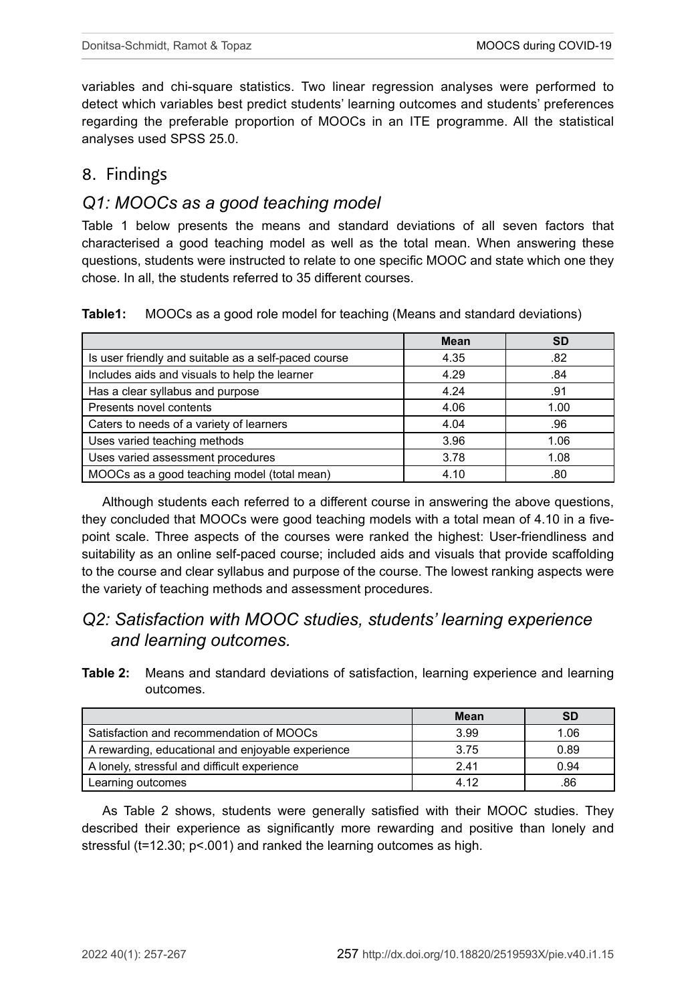variables and chi-square statistics. Two linear regression analyses were performed to detect which variables best predict students' learning outcomes and students' preferences regarding the preferable proportion of MOOCs in an ITE programme. All the statistical analyses used SPSS 25.0.

### 8. Findings

### *Q1: MOOCs as a good teaching model*

Table 1 below presents the means and standard deviations of all seven factors that characterised a good teaching model as well as the total mean. When answering these questions, students were instructed to relate to one specific MOOC and state which one they chose. In all, the students referred to 35 different courses.

**Table1:** MOOCs as a good role model for teaching (Means and standard deviations)

|                                                      | Mean | <b>SD</b> |
|------------------------------------------------------|------|-----------|
| Is user friendly and suitable as a self-paced course | 4.35 | .82       |
| Includes aids and visuals to help the learner        | 4.29 | .84       |
| Has a clear syllabus and purpose                     | 4.24 | .91       |
| Presents novel contents                              | 4.06 | 1.00      |
| Caters to needs of a variety of learners             | 4.04 | .96       |
| Uses varied teaching methods                         | 3.96 | 1.06      |
| Uses varied assessment procedures                    | 3.78 | 1.08      |
| MOOCs as a good teaching model (total mean)          | 4.10 | .80       |

Although students each referred to a different course in answering the above questions, they concluded that MOOCs were good teaching models with a total mean of 4.10 in a fivepoint scale. Three aspects of the courses were ranked the highest: User-friendliness and suitability as an online self-paced course; included aids and visuals that provide scaffolding to the course and clear syllabus and purpose of the course. The lowest ranking aspects were the variety of teaching methods and assessment procedures.

### *Q2: Satisfaction with MOOC studies, students' learning experience and learning outcomes.*

**Table 2:** Means and standard deviations of satisfaction, learning experience and learning outcomes.

|                                                   | Mean | <b>SD</b> |
|---------------------------------------------------|------|-----------|
| Satisfaction and recommendation of MOOCs          | 3.99 | 1.06      |
| A rewarding, educational and enjoyable experience | 3.75 | 0.89      |
| A lonely, stressful and difficult experience      | 241  | 0.94      |
| Learning outcomes                                 | 4.12 | .86       |

As Table 2 shows, students were generally satisfied with their MOOC studies. They described their experience as significantly more rewarding and positive than lonely and stressful (t=12.30; p<.001) and ranked the learning outcomes as high.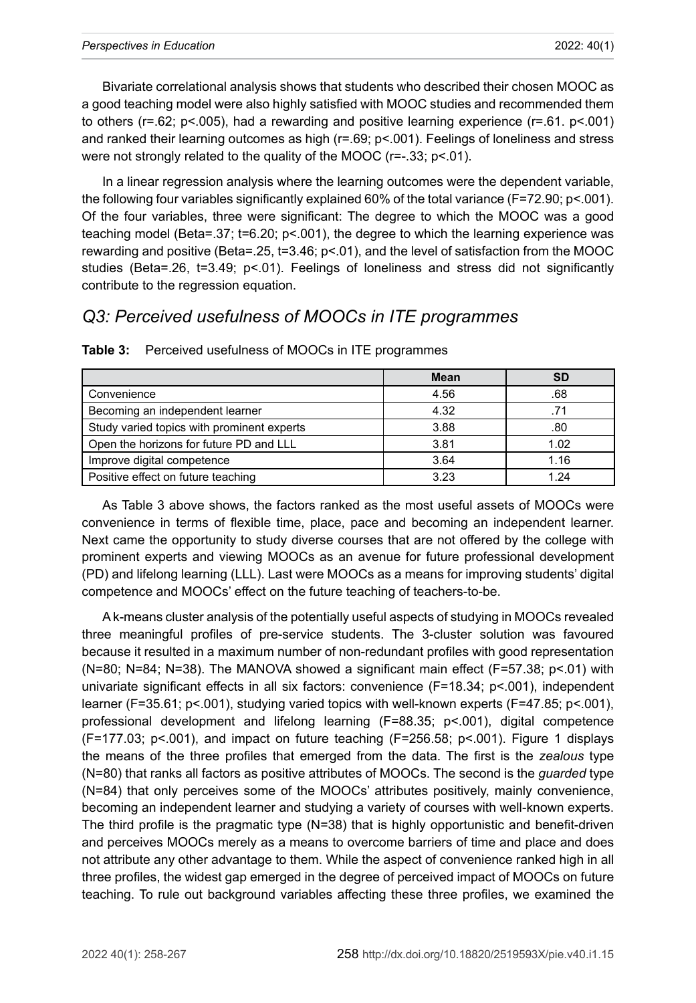Bivariate correlational analysis shows that students who described their chosen MOOC as a good teaching model were also highly satisfied with MOOC studies and recommended them to others (r=.62; p<.005), had a rewarding and positive learning experience (r=.61. p<.001) and ranked their learning outcomes as high (r=.69; p<.001). Feelings of loneliness and stress were not strongly related to the quality of the MOOC (r=-.33; p<.01).

In a linear regression analysis where the learning outcomes were the dependent variable, the following four variables significantly explained 60% of the total variance (F=72.90; p<.001). Of the four variables, three were significant: The degree to which the MOOC was a good teaching model (Beta=.37; t=6.20; p<.001), the degree to which the learning experience was rewarding and positive (Beta=.25, t=3.46; p<.01), and the level of satisfaction from the MOOC studies (Beta=.26, t=3.49; p<.01). Feelings of loneliness and stress did not significantly contribute to the regression equation.

### *Q3: Perceived usefulness of MOOCs in ITE programmes*

|                                            | Mean | SD   |
|--------------------------------------------|------|------|
| Convenience                                | 4.56 | .68  |
| Becoming an independent learner            | 4.32 |      |
| Study varied topics with prominent experts | 3.88 | .80  |
| Open the horizons for future PD and LLL    | 3.81 | 1.02 |
| Improve digital competence                 | 3.64 | 1.16 |
| Positive effect on future teaching         | 3.23 | 1 24 |

**Table 3:** Perceived usefulness of MOOCs in ITE programmes

As Table 3 above shows, the factors ranked as the most useful assets of MOOCs were convenience in terms of flexible time, place, pace and becoming an independent learner. Next came the opportunity to study diverse courses that are not offered by the college with prominent experts and viewing MOOCs as an avenue for future professional development (PD) and lifelong learning (LLL). Last were MOOCs as a means for improving students' digital competence and MOOCs' effect on the future teaching of teachers-to-be.

A k-means cluster analysis of the potentially useful aspects of studying in MOOCs revealed three meaningful profiles of pre-service students. The 3-cluster solution was favoured because it resulted in a maximum number of non-redundant profiles with good representation (N=80; N=84; N=38). The MANOVA showed a significant main effect (F=57.38; p<.01) with univariate significant effects in all six factors: convenience (F=18.34; p<.001), independent learner (F=35.61; p<.001), studying varied topics with well-known experts (F=47.85; p<.001), professional development and lifelong learning (F=88.35; p<.001), digital competence (F=177.03; p<.001), and impact on future teaching (F=256.58; p<.001). Figure 1 displays the means of the three profiles that emerged from the data. The first is the *zealous* type (N=80) that ranks all factors as positive attributes of MOOCs. The second is the *guarded* type (N=84) that only perceives some of the MOOCs' attributes positively, mainly convenience, becoming an independent learner and studying a variety of courses with well-known experts. The third profile is the pragmatic type (N=38) that is highly opportunistic and benefit-driven and perceives MOOCs merely as a means to overcome barriers of time and place and does not attribute any other advantage to them. While the aspect of convenience ranked high in all three profiles, the widest gap emerged in the degree of perceived impact of MOOCs on future teaching. To rule out background variables affecting these three profiles, we examined the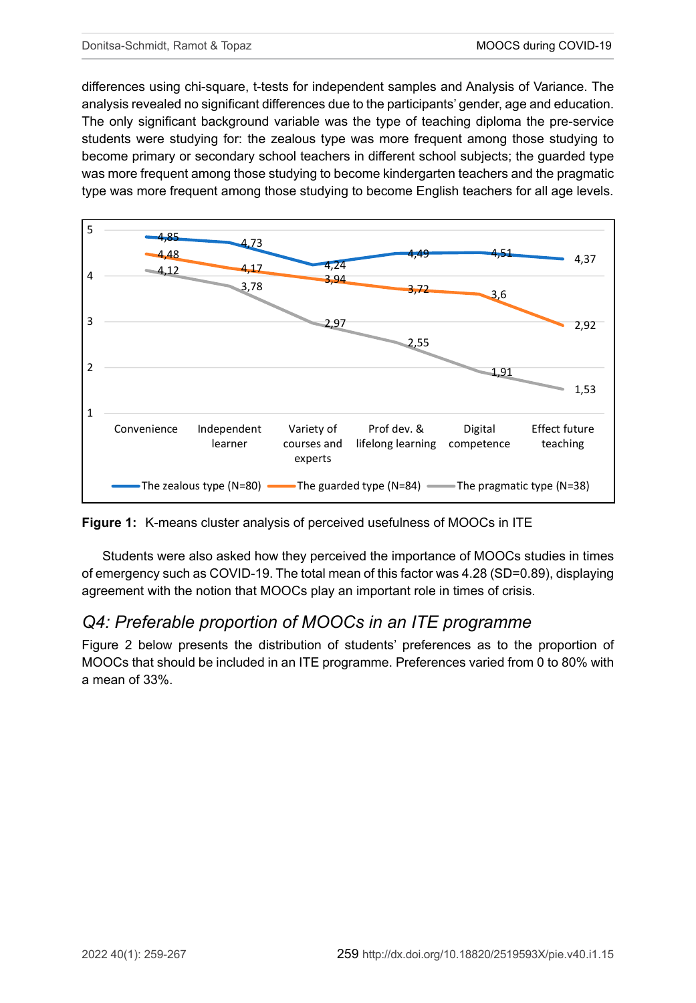differences using chi-square, t-tests for independent samples and Analysis of Variance. The analysis revealed no significant differences due to the participants' gender, age and education. The only significant background variable was the type of teaching diploma the pre-service students were studying for: the zealous type was more frequent among those studying to become primary or secondary school teachers in different school subjects; the guarded type was more frequent among those studying to become kindergarten teachers and the pragmatic type was more frequent among those studying to become English teachers for all age levels.



**Figure 1:** K-means cluster analysis of perceived usefulness of MOOCs in ITE

Students were also asked how they perceived the importance of MOOCs studies in times of emergency such as COVID-19. The total mean of this factor was 4.28 (SD=0.89), displaying agreement with the notion that MOOCs play an important role in times of crisis.

### *Q4: Preferable proportion of MOOCs in an ITE programme*

Figure 2 below presents the distribution of students' preferences as to the proportion of MOOCs that should be included in an ITE programme. Preferences varied from 0 to 80% with a mean of 33%.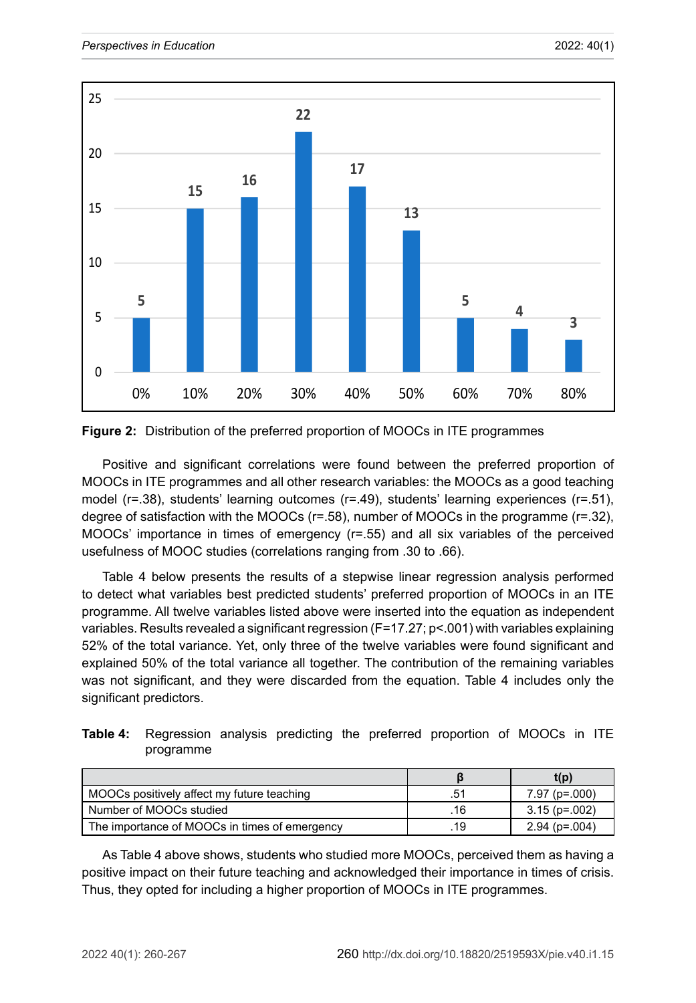



Positive and significant correlations were found between the preferred proportion of MOOCs in ITE programmes and all other research variables: the MOOCs as a good teaching model (r=.38), students' learning outcomes (r=.49), students' learning experiences (r=.51), degree of satisfaction with the MOOCs (r=.58), number of MOOCs in the programme (r=.32), MOOCs' importance in times of emergency (r=.55) and all six variables of the perceived usefulness of MOOC studies (correlations ranging from .30 to .66).

Table 4 below presents the results of a stepwise linear regression analysis performed to detect what variables best predicted students' preferred proportion of MOOCs in an ITE programme. All twelve variables listed above were inserted into the equation as independent variables. Results revealed a significant regression (F=17.27; p<.001) with variables explaining 52% of the total variance. Yet, only three of the twelve variables were found significant and explained 50% of the total variance all together. The contribution of the remaining variables was not significant, and they were discarded from the equation. Table 4 includes only the significant predictors.

| <b>Table 4:</b> Regression analysis predicting the preferred proportion of MOOCs in ITE |  |  |  |  |  |
|-----------------------------------------------------------------------------------------|--|--|--|--|--|
| programme                                                                               |  |  |  |  |  |

|                                               |     | t(p)            |
|-----------------------------------------------|-----|-----------------|
| MOOCs positively affect my future teaching    | .51 | $7.97$ (p=.000) |
| Number of MOOCs studied                       | .16 | $3.15$ (p=.002) |
| The importance of MOOCs in times of emergency | .19 | $2.94$ (p=.004) |

As Table 4 above shows, students who studied more MOOCs, perceived them as having a positive impact on their future teaching and acknowledged their importance in times of crisis. Thus, they opted for including a higher proportion of MOOCs in ITE programmes.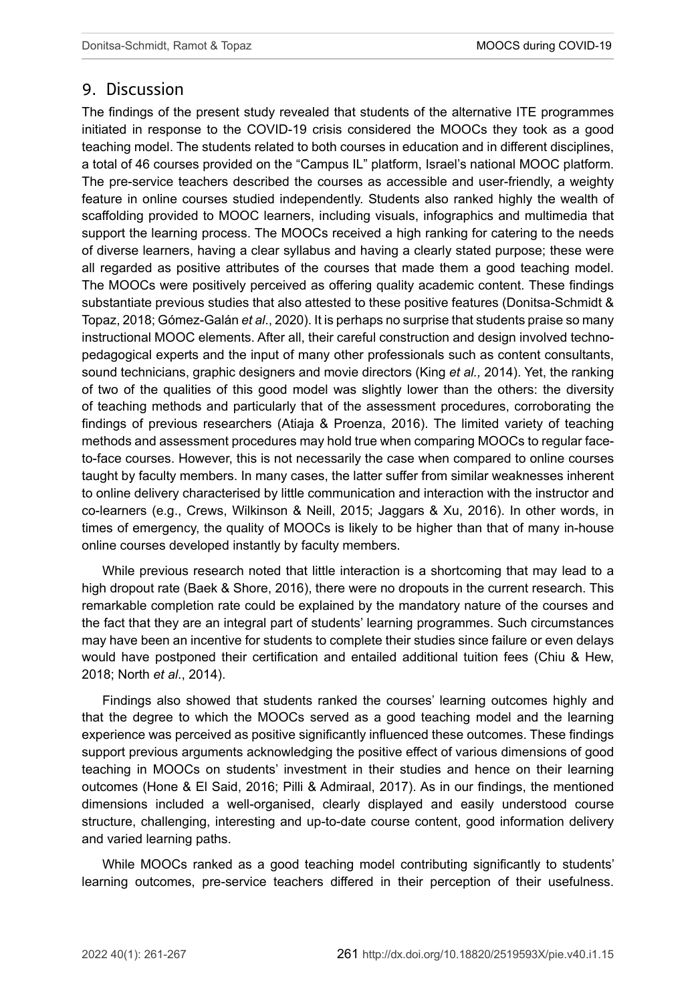### 9. Discussion

The findings of the present study revealed that students of the alternative ITE programmes initiated in response to the COVID-19 crisis considered the MOOCs they took as a good teaching model. The students related to both courses in education and in different disciplines, a total of 46 courses provided on the "Campus IL" platform, Israel's national MOOC platform. The pre-service teachers described the courses as accessible and user-friendly, a weighty feature in online courses studied independently. Students also ranked highly the wealth of scaffolding provided to MOOC learners, including visuals, infographics and multimedia that support the learning process. The MOOCs received a high ranking for catering to the needs of diverse learners, having a clear syllabus and having a clearly stated purpose; these were all regarded as positive attributes of the courses that made them a good teaching model. The MOOCs were positively perceived as offering quality academic content. These findings substantiate previous studies that also attested to these positive features (Donitsa-Schmidt & Topaz, 2018; Gómez-Galán *et al*., 2020). It is perhaps no surprise that students praise so many instructional MOOC elements. After all, their careful construction and design involved technopedagogical experts and the input of many other professionals such as content consultants, sound technicians, graphic designers and movie directors (King *et al.,* 2014). Yet, the ranking of two of the qualities of this good model was slightly lower than the others: the diversity of teaching methods and particularly that of the assessment procedures, corroborating the findings of previous researchers (Atiaja & Proenza, 2016). The limited variety of teaching methods and assessment procedures may hold true when comparing MOOCs to regular faceto-face courses. However, this is not necessarily the case when compared to online courses taught by faculty members. In many cases, the latter suffer from similar weaknesses inherent to online delivery characterised by little communication and interaction with the instructor and co-learners (e.g., Crews, Wilkinson & Neill, 2015; Jaggars & Xu, 2016). In other words, in times of emergency, the quality of MOOCs is likely to be higher than that of many in-house online courses developed instantly by faculty members.

While previous research noted that little interaction is a shortcoming that may lead to a high dropout rate (Baek & Shore, 2016), there were no dropouts in the current research. This remarkable completion rate could be explained by the mandatory nature of the courses and the fact that they are an integral part of students' learning programmes. Such circumstances may have been an incentive for students to complete their studies since failure or even delays would have postponed their certification and entailed additional tuition fees (Chiu & Hew, 2018; North *et al*., 2014).

Findings also showed that students ranked the courses' learning outcomes highly and that the degree to which the MOOCs served as a good teaching model and the learning experience was perceived as positive significantly influenced these outcomes. These findings support previous arguments acknowledging the positive effect of various dimensions of good teaching in MOOCs on students' investment in their studies and hence on their learning outcomes (Hone & El Said, 2016; Pilli & Admiraal, 2017). As in our findings, the mentioned dimensions included a well-organised, clearly displayed and easily understood course structure, challenging, interesting and up-to-date course content, good information delivery and varied learning paths.

While MOOCs ranked as a good teaching model contributing significantly to students' learning outcomes, pre-service teachers differed in their perception of their usefulness.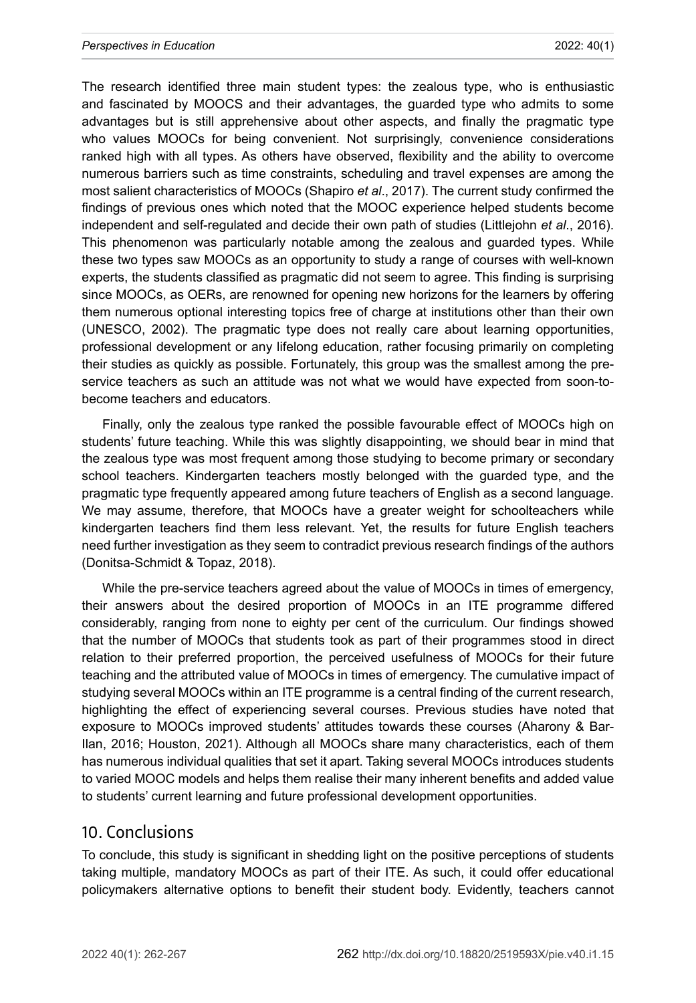The research identified three main student types: the zealous type, who is enthusiastic and fascinated by MOOCS and their advantages, the guarded type who admits to some advantages but is still apprehensive about other aspects, and finally the pragmatic type who values MOOCs for being convenient. Not surprisingly, convenience considerations ranked high with all types. As others have observed, flexibility and the ability to overcome numerous barriers such as time constraints, scheduling and travel expenses are among the most salient characteristics of MOOCs (Shapiro *et al*., 2017). The current study confirmed the findings of previous ones which noted that the MOOC experience helped students become independent and self-regulated and decide their own path of studies (Littlejohn *et al*., 2016). This phenomenon was particularly notable among the zealous and guarded types. While these two types saw MOOCs as an opportunity to study a range of courses with well-known experts, the students classified as pragmatic did not seem to agree. This finding is surprising since MOOCs, as OERs, are renowned for opening new horizons for the learners by offering them numerous optional interesting topics free of charge at institutions other than their own (UNESCO, 2002). The pragmatic type does not really care about learning opportunities, professional development or any lifelong education, rather focusing primarily on completing their studies as quickly as possible. Fortunately, this group was the smallest among the preservice teachers as such an attitude was not what we would have expected from soon-tobecome teachers and educators.

Finally, only the zealous type ranked the possible favourable effect of MOOCs high on students' future teaching. While this was slightly disappointing, we should bear in mind that the zealous type was most frequent among those studying to become primary or secondary school teachers. Kindergarten teachers mostly belonged with the guarded type, and the pragmatic type frequently appeared among future teachers of English as a second language. We may assume, therefore, that MOOCs have a greater weight for schoolteachers while kindergarten teachers find them less relevant. Yet, the results for future English teachers need further investigation as they seem to contradict previous research findings of the authors (Donitsa-Schmidt & Topaz, 2018).

While the pre-service teachers agreed about the value of MOOCs in times of emergency, their answers about the desired proportion of MOOCs in an ITE programme differed considerably, ranging from none to eighty per cent of the curriculum. Our findings showed that the number of MOOCs that students took as part of their programmes stood in direct relation to their preferred proportion, the perceived usefulness of MOOCs for their future teaching and the attributed value of MOOCs in times of emergency. The cumulative impact of studying several MOOCs within an ITE programme is a central finding of the current research, highlighting the effect of experiencing several courses. Previous studies have noted that exposure to MOOCs improved students' attitudes towards these courses (Aharony & Bar-Ilan, 2016; Houston, 2021). Although all MOOCs share many characteristics, each of them has numerous individual qualities that set it apart. Taking several MOOCs introduces students to varied MOOC models and helps them realise their many inherent benefits and added value to students' current learning and future professional development opportunities.

#### 10. Conclusions

To conclude, this study is significant in shedding light on the positive perceptions of students taking multiple, mandatory MOOCs as part of their ITE. As such, it could offer educational policymakers alternative options to benefit their student body. Evidently, teachers cannot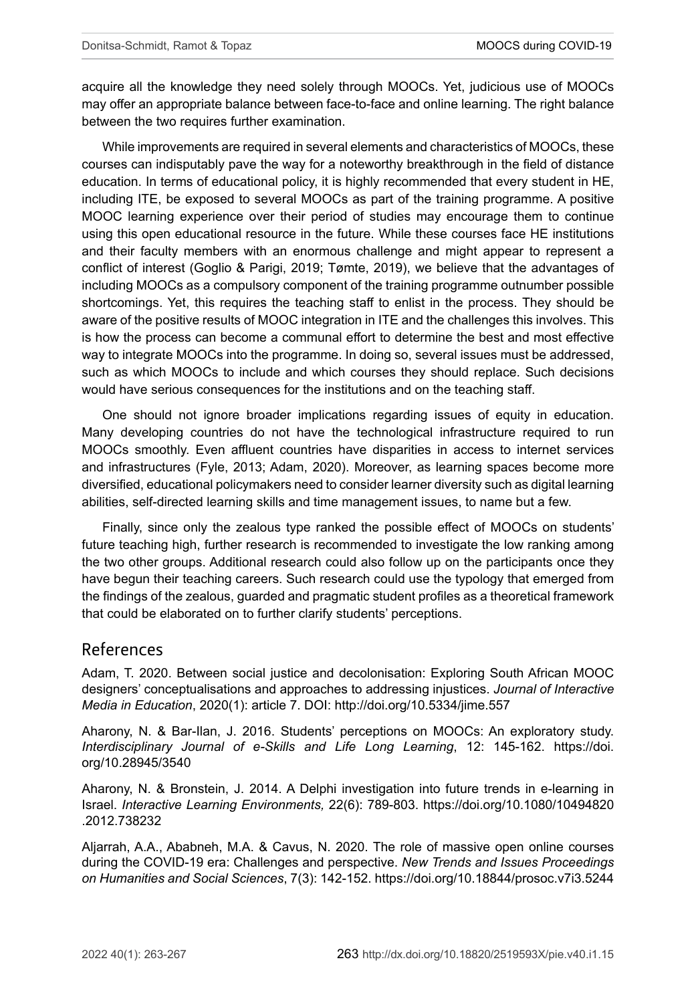acquire all the knowledge they need solely through MOOCs. Yet, judicious use of MOOCs may offer an appropriate balance between face-to-face and online learning. The right balance between the two requires further examination.

While improvements are required in several elements and characteristics of MOOCs, these courses can indisputably pave the way for a noteworthy breakthrough in the field of distance education. In terms of educational policy, it is highly recommended that every student in HE, including ITE, be exposed to several MOOCs as part of the training programme. A positive MOOC learning experience over their period of studies may encourage them to continue using this open educational resource in the future. While these courses face HE institutions and their faculty members with an enormous challenge and might appear to represent a conflict of interest (Goglio & Parigi, 2019; Tømte, 2019), we believe that the advantages of including MOOCs as a compulsory component of the training programme outnumber possible shortcomings. Yet, this requires the teaching staff to enlist in the process. They should be aware of the positive results of MOOC integration in ITE and the challenges this involves. This is how the process can become a communal effort to determine the best and most effective way to integrate MOOCs into the programme. In doing so, several issues must be addressed, such as which MOOCs to include and which courses they should replace. Such decisions would have serious consequences for the institutions and on the teaching staff.

One should not ignore broader implications regarding issues of equity in education. Many developing countries do not have the technological infrastructure required to run MOOCs smoothly. Even affluent countries have disparities in access to internet services and infrastructures (Fyle, 2013; Adam, 2020). Moreover, as learning spaces become more diversified, educational policymakers need to consider learner diversity such as digital learning abilities, self-directed learning skills and time management issues, to name but a few.

Finally, since only the zealous type ranked the possible effect of MOOCs on students' future teaching high, further research is recommended to investigate the low ranking among the two other groups. Additional research could also follow up on the participants once they have begun their teaching careers. Such research could use the typology that emerged from the findings of the zealous, guarded and pragmatic student profiles as a theoretical framework that could be elaborated on to further clarify students' perceptions.

### References

Adam, T. 2020. Between social justice and decolonisation: Exploring South African MOOC designers' conceptualisations and approaches to addressing injustices. *Journal of Interactive Media in Education*, 2020(1): article 7. DOI: <http://doi.org/10.5334/jime.557>

Aharony, N. & Bar-Ilan, J. 2016. Students' perceptions on MOOCs: An exploratory study. *Interdisciplinary Journal of e-Skills and Life Long Learning*, 12: 145-162. [https://doi.](https://doi.org/10.28945/3540) [org/10.28945/3540](https://doi.org/10.28945/3540)

Aharony, N. & Bronstein, J. 2014. A Delphi investigation into future trends in e-learning in Israel. *Interactive Learning Environments,* 22(6): 789-803. [https://doi.org/10.1080/10494820](https://doi.org/10.1080/10494820.2012.738232) [.2012.738232](https://doi.org/10.1080/10494820.2012.738232)

Aljarrah, A.A., Ababneh, M.A. & Cavus, N. 2020. The role of massive open online courses during the COVID-19 era: Challenges and perspective. *New Trends and Issues Proceedings on Humanities and Social Sciences*, 7(3): 142-152. <https://doi.org/10.18844/prosoc.v7i3.5244>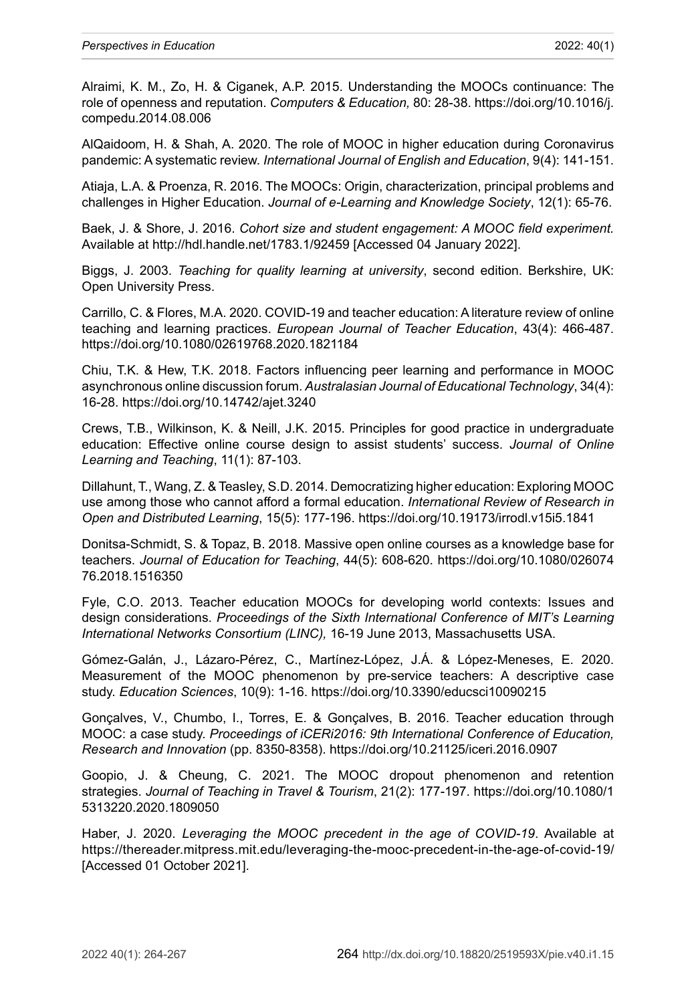Alraimi, K. M., Zo, H. & Ciganek, A.P. 2015. Understanding the MOOCs continuance: The role of openness and reputation. *Computers & Education,* 80: 28-38. [https://doi.org/10.1016/j.](https://doi.org/10.1016/j.compedu.2014.08.006) [compedu.2014.08.006](https://doi.org/10.1016/j.compedu.2014.08.006)

AlQaidoom, H. & Shah, A. 2020. The role of MOOC in higher education during Coronavirus pandemic: A systematic review. *International Journal of English and Education*, 9(4): 141-151.

Atiaja, L.A. & Proenza, R. 2016. The MOOCs: Origin, characterization, principal problems and challenges in Higher Education. *Journal of e-Learning and Knowledge Society*, 12(1): 65-76.

Baek, J. & Shore, J. 2016. *Cohort size and student engagement: A MOOC field experiment.*  Available at <http://hdl.handle.net/1783.1/92459> [Accessed 04 January 2022].

Biggs, J. 2003. *Teaching for quality learning at university*, second edition. Berkshire, UK: Open University Press.

Carrillo, C. & Flores, M.A. 2020. COVID-19 and teacher education: A literature review of online teaching and learning practices. *European Journal of Teacher Education*, 43(4): 466-487. <https://doi.org/10.1080/02619768.2020.1821184>

Chiu, T.K. & Hew, T.K. 2018. Factors influencing peer learning and performance in MOOC asynchronous online discussion forum. *Australasian Journal of Educational Technology*, 34(4): 16-28. <https://doi.org/10.14742/ajet.3240>

Crews, T.B., Wilkinson, K. & Neill, J.K. 2015. Principles for good practice in undergraduate education: Effective online course design to assist students' success. *Journal of Online Learning and Teaching*, 11(1): 87-103.

Dillahunt, T., Wang, Z. & Teasley, S.D. 2014. Democratizing higher education: Exploring MOOC use among those who cannot afford a formal education. *International Review of Research in Open and Distributed Learning*, 15(5): 177-196.<https://doi.org/10.19173/irrodl.v15i5.1841>

Donitsa-Schmidt, S. & Topaz, B. 2018. Massive open online courses as a knowledge base for teachers. *Journal of Education for Teaching*, 44(5): 608-620. [https://doi.org/10.1080/026074](https://doi.org/10.1080/02607476.2018.1516350) [76.2018.1516350](https://doi.org/10.1080/02607476.2018.1516350)

Fyle, C.O. 2013. Teacher education MOOCs for developing world contexts: Issues and design considerations. *Proceedings of the Sixth International Conference of MIT's Learning International Networks Consortium (LINC),* 16-19 June 2013, Massachusetts USA.

Gómez-Galán, J., Lázaro-Pérez, C., Martínez-López, J.Á. & López-Meneses, E. 2020. Measurement of the MOOC phenomenon by pre-service teachers: A descriptive case study. *Education Sciences*, 10(9): 1-16. <https://doi.org/10.3390/educsci10090215>

Gonçalves, V., Chumbo, I., Torres, E. & Gonçalves, B. 2016. Teacher education through MOOC: a case study. *Proceedings of iCERi2016: 9th International Conference of Education, Research and Innovation* (pp. 8350-8358).<https://doi.org/10.21125/iceri.2016.0907>

Goopio, J. & Cheung, C. 2021. The MOOC dropout phenomenon and retention strategies. *Journal of Teaching in Travel & Tourism*, 21(2): 177-197. [https://doi.org/10.1080/1](https://doi.org/10.1080/15313220.2020.1809050) [5313220.2020.1809050](https://doi.org/10.1080/15313220.2020.1809050)

Haber, J. 2020. *Leveraging the MOOC precedent in the age of COVID-19*. Available at <https://thereader.mitpress.mit.edu/leveraging-the-mooc-precedent-in-the-age-of-covid-19/> [Accessed 01 October 2021].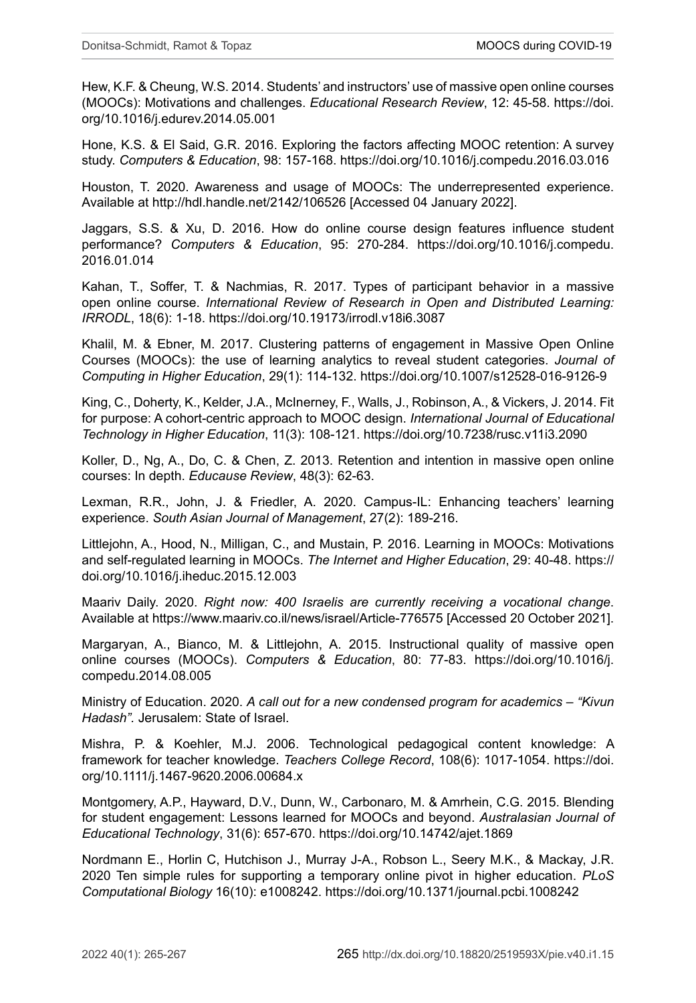Hew, K.F. & Cheung, W.S. 2014. Students' and instructors' use of massive open online courses (MOOCs): Motivations and challenges. *Educational Research Review*, 12: 45-58. [https://doi.](https://doi.org/10.1016/j.edurev.2014.05.001) [org/10.1016/j.edurev.2014.05.001](https://doi.org/10.1016/j.edurev.2014.05.001)

Hone, K.S. & El Said, G.R. 2016. Exploring the factors affecting MOOC retention: A survey study. *Computers & Education*, 98: 157-168. <https://doi.org/10.1016/j.compedu.2016.03.016>

Houston, T. 2020. Awareness and usage of MOOCs: The underrepresented experience. Available at <http://hdl.handle.net/2142/106526>[Accessed 04 January 2022].

Jaggars, S.S. & Xu, D. 2016. How do online course design features influence student performance? *Computers & Education*, 95: 270-284. [https://doi.org/10.1016/j.compedu.](https://doi.org/10.1016/j.compedu.2016.01.014) [2016.01.014](https://doi.org/10.1016/j.compedu.2016.01.014)

Kahan, T., Soffer, T. & Nachmias, R. 2017. Types of participant behavior in a massive open online course. *International Review of Research in Open and Distributed Learning: IRRODL*, 18(6): 1-18. <https://doi.org/10.19173/irrodl.v18i6.3087>

Khalil, M. & Ebner, M. 2017. Clustering patterns of engagement in Massive Open Online Courses (MOOCs): the use of learning analytics to reveal student categories. *Journal of Computing in Higher Education*, 29(1): 114-132. <https://doi.org/10.1007/s12528-016-9126-9>

King, C., Doherty, K., Kelder, J.A., McInerney, F., Walls, J., Robinson, A., & Vickers, J. 2014. Fit for purpose: A cohort-centric approach to MOOC design. *International Journal of Educational Technology in Higher Education*, 11(3): 108-121. <https://doi.org/10.7238/rusc.v11i3.2090>

Koller, D., Ng, A., Do, C. & Chen, Z. 2013. Retention and intention in massive open online courses: In depth. *Educause Review*, 48(3): 62-63.

Lexman, R.R., John, J. & Friedler, A. 2020. Campus-IL: Enhancing teachers' learning experience. *South Asian Journal of Management*, 27(2): 189-216.

Littlejohn, A., Hood, N., Milligan, C., and Mustain, P. 2016. Learning in MOOCs: Motivations and self-regulated learning in MOOCs. *The Internet and Higher Education*, 29: 40-48. [https://](https://doi.org/10.1016/j.iheduc.2015.12.003) [doi.org/10.1016/j.iheduc.2015.12.003](https://doi.org/10.1016/j.iheduc.2015.12.003)

Maariv Daily. 2020. *Right now: 400 Israelis are currently receiving a vocational change*. Available at<https://www.maariv.co.il/news/israel/Article-776575>[Accessed 20 October 2021].

Margaryan, A., Bianco, M. & Littlejohn, A. 2015. Instructional quality of massive open online courses (MOOCs). *Computers & Education*, 80: 77-83. [https://doi.org/10.1016/j.](https://doi.org/10.1016/j.compedu.2014.08.005) [compedu.2014.08.005](https://doi.org/10.1016/j.compedu.2014.08.005)

Ministry of Education. 2020. *A call out for a new condensed program for academics – "Kivun Hadash".* Jerusalem: State of Israel.

Mishra, P. & Koehler, M.J. 2006. Technological pedagogical content knowledge: A framework for teacher knowledge. *Teachers College Record*, 108(6): 1017-1054. [https://doi.](https://doi.org/10.1111/j.1467-9620.2006.00684.x) [org/10.1111/j.1467-9620.2006.00684.x](https://doi.org/10.1111/j.1467-9620.2006.00684.x)

Montgomery, A.P., Hayward, D.V., Dunn, W., Carbonaro, M. & Amrhein, C.G. 2015. Blending for student engagement: Lessons learned for MOOCs and beyond. *Australasian Journal of Educational Technology*, 31(6): 657-670. <https://doi.org/10.14742/ajet.1869>

Nordmann E., Horlin C, Hutchison J., Murray J-A., Robson L., Seery M.K., & Mackay, J.R. 2020 Ten simple rules for supporting a temporary online pivot in higher education. *PLoS Computational Biology* 16(10): e1008242.<https://doi.org/10.1371/journal.pcbi.1008242>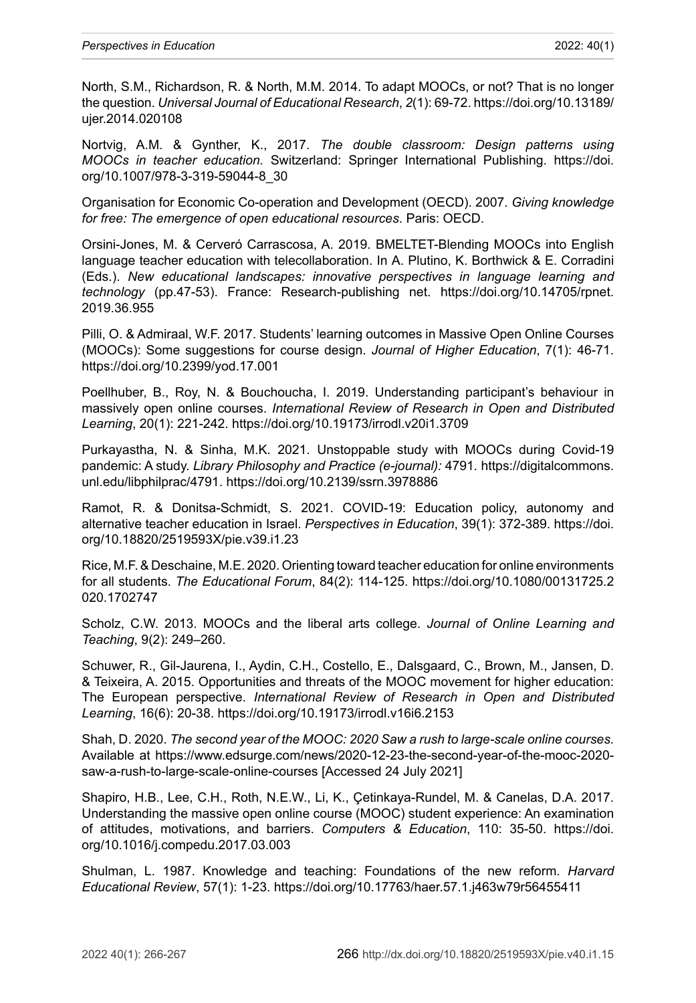North, S.M., Richardson, R. & North, M.M. 2014. To adapt MOOCs, or not? That is no longer the question. *Universal Journal of Educational Research*, *2*(1): 69-72. [https://doi.org/10.13189/](https://doi.org/10.13189/ujer.2014.020108) [ujer.2014.020108](https://doi.org/10.13189/ujer.2014.020108)

Nortvig, A.M. & Gynther, K., 2017. *The double classroom: Design patterns using MOOCs in teacher education.* Switzerland: Springer International Publishing. [https://doi.](https://doi.org/10.1007/978-3-319-59044-8_30) [org/10.1007/978-3-319-59044-8\\_30](https://doi.org/10.1007/978-3-319-59044-8_30)

Organisation for Economic Co-operation and Development [\(OECD](http://ictlogy.net/bibliography/reports/contacts.php?idc=108)). 2007. *[Giving knowledge](http://ictlogy.net/bibliography/reports/projects.php?idp=822) [for free: The emergence of open educational resources](http://ictlogy.net/bibliography/reports/projects.php?idp=822)*. Paris: OECD.

Orsini-Jones, M. & Cerveró Carrascosa, A. 2019. BMELTET-Blending MOOCs into English language teacher education with telecollaboration. In A. Plutino, K. Borthwick & E. Corradini (Eds.). *New educational landscapes: innovative perspectives in language learning and technology* (pp.47-53). France: Research-publishing net. [https://doi.org/10.14705/rpnet.](https://doi.org/10.14705/rpnet.2019.36.955) [2019.36.955](https://doi.org/10.14705/rpnet.2019.36.955)

Pilli, O. & Admiraal, W.F. 2017. Students' learning outcomes in Massive Open Online Courses (MOOCs): Some suggestions for course design. *Journal of Higher Education*, 7(1): 46-71. <https://doi.org/10.2399/yod.17.001>

Poellhuber, B., Roy, N. & Bouchoucha, I. 2019. Understanding participant's behaviour in massively open online courses. *International Review of Research in Open and Distributed Learning*, 20(1): 221-242. <https://doi.org/10.19173/irrodl.v20i1.3709>

Purkayastha, N. & Sinha, M.K. 2021. Unstoppable study with MOOCs during Covid-19 pandemic: A study. *Library Philosophy and Practice (e-journal):* 4791*.* [https://digitalcommons.](https://digitalcommons.unl.edu/libphilprac/4791) [unl.edu/libphilprac/4791.](https://digitalcommons.unl.edu/libphilprac/4791) <https://doi.org/10.2139/ssrn.3978886>

Ramot, R. & Donitsa-Schmidt, S. 2021. COVID-19: Education policy, autonomy and alternative teacher education in Israel. *Perspectives in Education*, 39(1): 372-389. [https://doi.](https://doi.org/10.18820/2519593X/pie.v39.i1.23) [org/10.18820/2519593X/pie.v39.i1.23](https://doi.org/10.18820/2519593X/pie.v39.i1.23)

Rice, M.F. & Deschaine, M.E. 2020. Orienting toward teacher education for online environments for all students. *The Educational Forum*, 84(2): 114-125. [https://doi.org/10.1080/00131725.2](https://doi.org/10.1080/00131725.2020.1702747) [020.1702747](https://doi.org/10.1080/00131725.2020.1702747)

Scholz, C.W. 2013. MOOCs and the liberal arts college. *Journal of Online Learning and Teaching*, 9(2): 249–260.

Schuwer, R., Gil-Jaurena, I., Aydin, C.H., Costello, E., Dalsgaard, C., Brown, M., Jansen, D. & Teixeira, A. 2015. Opportunities and threats of the MOOC movement for higher education: The European perspective. *International Review of Research in Open and Distributed Learning*, 16(6): 20-38. <https://doi.org/10.19173/irrodl.v16i6.2153>

Shah, D. 2020. *The second year of the MOOC: 2020 Saw a rush to large-scale online courses.*  Available at [https://www.edsurge.com/news/2020-12-23-the-second-year-of-the-mooc-2020](https://www.edsurge.com/news/2020-12-23-the-second-year-of-the-mooc-2020-saw-a-rush-to-large-scale-online-courses) [saw-a-rush-to-large-scale-online-courses](https://www.edsurge.com/news/2020-12-23-the-second-year-of-the-mooc-2020-saw-a-rush-to-large-scale-online-courses) [Accessed 24 July 2021]

Shapiro, H.B., Lee, C.H., Roth, N.E.W., Li, K., Çetinkaya-Rundel, M. & Canelas, D.A. 2017. Understanding the massive open online course (MOOC) student experience: An examination of attitudes, motivations, and barriers. *Computers & Education*, 110: 35-50. [https://doi.](https://doi.org/10.1016/j.compedu.2017.03.003) [org/10.1016/j.compedu.2017.03.003](https://doi.org/10.1016/j.compedu.2017.03.003)

Shulman, L. 1987. Knowledge and teaching: Foundations of the new reform. *Harvard Educational Review*, 57(1): 1-23. <https://doi.org/10.17763/haer.57.1.j463w79r56455411>